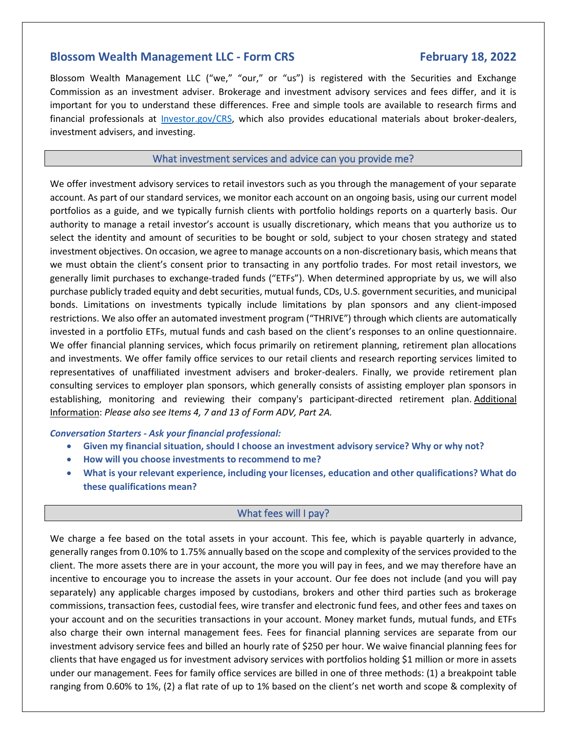# **Blossom Wealth Management LLC - Form CRS February 18, 2022**

Blossom Wealth Management LLC ("we," "our," or "us") is registered with the Securities and Exchange Commission as an investment adviser. Brokerage and investment advisory services and fees differ, and it is important for you to understand these differences. Free and simple tools are available to research firms and financial professionals at [Investor.gov/CRS,](https://www.investor.gov/CRS) which also provides educational materials about broker-dealers, investment advisers, and investing.

## What investment services and advice can you provide me?

We offer investment advisory services to retail investors such as you through the management of your separate account. As part of our standard services, we monitor each account on an ongoing basis, using our current model portfolios as a guide, and we typically furnish clients with portfolio holdings reports on a quarterly basis. Our authority to manage a retail investor's account is usually discretionary, which means that you authorize us to select the identity and amount of securities to be bought or sold, subject to your chosen strategy and stated investment objectives. On occasion, we agree to manage accounts on a non-discretionary basis, which means that we must obtain the client's consent prior to transacting in any portfolio trades. For most retail investors, we generally limit purchases to exchange-traded funds ("ETFs"). When determined appropriate by us, we will also purchase publicly traded equity and debt securities, mutual funds, CDs, U.S. government securities, and municipal bonds. Limitations on investments typically include limitations by plan sponsors and any client-imposed restrictions. We also offer an automated investment program ("THRIVE") through which clients are automatically invested in a portfolio ETFs, mutual funds and cash based on the client's responses to an online questionnaire. We offer financial planning services, which focus primarily on retirement planning, retirement plan allocations and investments. We offer family office services to our retail clients and research reporting services limited to representatives of unaffiliated investment advisers and broker-dealers. Finally, we provide retirement plan consulting services to employer plan sponsors, which generally consists of assisting employer plan sponsors in establishing, monitoring and reviewing their company's participant-directed retirement plan. Additional Information: *Please also see Items 4, 7 and 13 of Form ADV, Part 2A.*

### *Conversation Starters - Ask your financial professional:*

- **Given my financial situation, should I choose an investment advisory service? Why or why not?**
- **How will you choose investments to recommend to me?**
- **What is your relevant experience, including your licenses, education and other qualifications? What do these qualifications mean?**

## What fees will I pay?

We charge a fee based on the total assets in your account. This fee, which is payable quarterly in advance, generally ranges from 0.10% to 1.75% annually based on the scope and complexity of the services provided to the client. The more assets there are in your account, the more you will pay in fees, and we may therefore have an incentive to encourage you to increase the assets in your account. Our fee does not include (and you will pay separately) any applicable charges imposed by custodians, brokers and other third parties such as brokerage commissions, transaction fees, custodial fees, wire transfer and electronic fund fees, and other fees and taxes on your account and on the securities transactions in your account. Money market funds, mutual funds, and ETFs also charge their own internal management fees. Fees for financial planning services are separate from our investment advisory service fees and billed an hourly rate of \$250 per hour. We waive financial planning fees for clients that have engaged us for investment advisory services with portfolios holding \$1 million or more in assets under our management. Fees for family office services are billed in one of three methods: (1) a breakpoint table ranging from 0.60% to 1%, (2) a flat rate of up to 1% based on the client's net worth and scope & complexity of